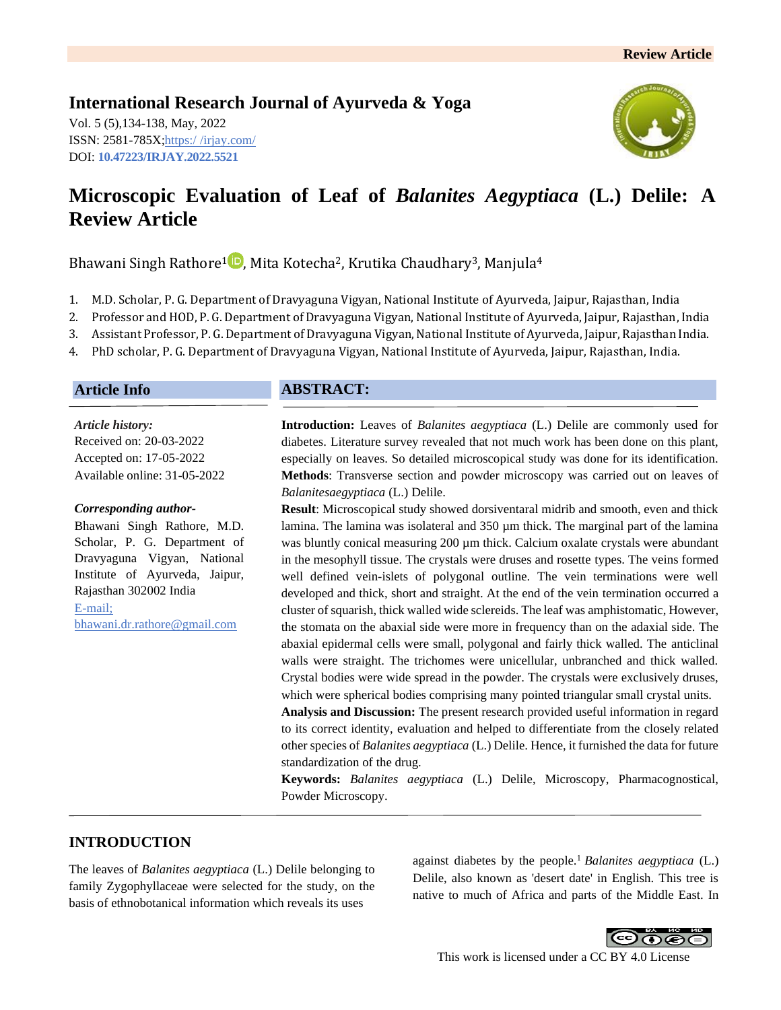# **International Research Journal of Ayurveda & Yoga**

Vol. 5 (5),134-138, May, 2022 ISSN: 2581-785X; https:/ [/irjay.com/](https://irjay.com/) DOI: **10.47223/IRJAY.2022.5521**



# **Microscopic Evaluation of Leaf of** *Balanites Aegyptiaca* **(L.) Delile: A Review Article**

Bhawani Singh Rathore<sup>1</sup><sup>1</sup>, Mita Kotecha<sup>2</sup>, Krutika Chaudhary<sup>3</sup>, Manjula<sup>4</sup>

- 1. M.D. Scholar, P. G. Department of Dravyaguna Vigyan, National Institute of Ayurveda, Jaipur, Rajasthan, India
- 2. Professor and HOD, P. G. Department of Dravyaguna Vigyan, National Institute of Ayurveda, Jaipur, Rajasthan, India
- 3. Assistant Professor, P. G. Department of Dravyaguna Vigyan, National Institute of Ayurveda, Jaipur, Rajasthan India.
- 4. PhD scholar, P. G. Department of Dravyaguna Vigyan, National Institute of Ayurveda, Jaipur, Rajasthan, India.

#### **Article Info**

*Article history:* Received on: 20-03-2022 Accepted on: 17-05-2022 Available online: 31-05-2022

#### *Corresponding author-*

Bhawani Singh Rathore, M.D. Scholar, P. G. Department of Dravyaguna Vigyan, National Institute of Ayurveda, Jaipur, Rajasthan 302002 India E-mail; bhawani.dr.rathore@gmail.com

### **ABSTRACT:**

**Introduction:** Leaves of *Balanites aegyptiaca* (L.) Delile are commonly used for diabetes. Literature survey revealed that not much work has been done on this plant, especially on leaves. So detailed microscopical study was done for its identification. **Methods**: Transverse section and powder microscopy was carried out on leaves of *Balanitesaegyptiaca* (L.) Delile.

**Result**: Microscopical study showed dorsiventaral midrib and smooth, even and thick lamina. The lamina was isolateral and 350  $\mu$ m thick. The marginal part of the lamina was bluntly conical measuring 200 µm thick. Calcium oxalate crystals were abundant in the mesophyll tissue. The crystals were druses and rosette types. The veins formed well defined vein-islets of polygonal outline. The vein terminations were well developed and thick, short and straight. At the end of the vein termination occurred a cluster of squarish, thick walled wide sclereids. The leaf was amphistomatic, However, the stomata on the abaxial side were more in frequency than on the adaxial side. The abaxial epidermal cells were small, polygonal and fairly thick walled. The anticlinal walls were straight. The trichomes were unicellular, unbranched and thick walled. Crystal bodies were wide spread in the powder. The crystals were exclusively druses, which were spherical bodies comprising many pointed triangular small crystal units.

**Analysis and Discussion:** The present research provided useful information in regard to its correct identity, evaluation and helped to differentiate from the closely related other species of *Balanites aegyptiaca* (L.) Delile. Hence, it furnished the data for future standardization of the drug.

**Keywords:** *Balanites aegyptiaca* (L.) Delile, Microscopy, Pharmacognostical, Powder Microscopy.

### **INTRODUCTION**

The leaves of *Balanites aegyptiaca* (L.) Delile belonging to family Zygophyllaceae were selected for the study, on the basis of ethnobotanical information which reveals its uses

against diabetes by the people.<sup>1</sup> *Balanites aegyptiaca* (L.) Delile, also known as 'desert date' in English. This tree is native to much of Africa and parts of the Middle East. In

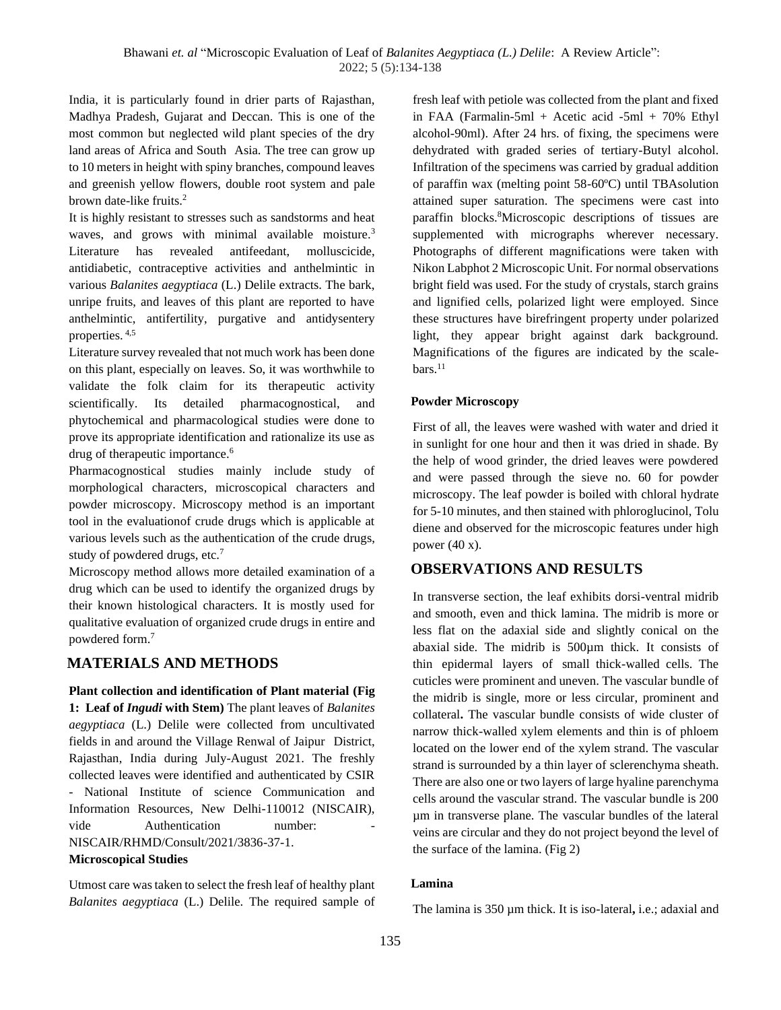India, it is particularly found in drier parts of Rajasthan, Madhya Pradesh, Gujarat and Deccan. This is one of the most common but neglected wild plant species of the dry land areas of Africa and South Asia. The tree can grow up to 10 meters in height with spiny branches, compound leaves and greenish yellow flowers, double root system and pale brown date-like fruits.<sup>2</sup>

It is highly resistant to stresses such as sandstorms and heat waves, and grows with minimal available moisture.<sup>3</sup> Literature has revealed antifeedant, molluscicide, antidiabetic, contraceptive activities and anthelmintic in various *Balanites aegyptiaca* (L.) Delile extracts. The bark, unripe fruits, and leaves of this plant are reported to have anthelmintic, antifertility, purgative and antidysentery properties. 4,5

Literature survey revealed that not much work has been done on this plant, especially on leaves. So, it was worthwhile to validate the folk claim for its therapeutic activity scientifically. Its detailed pharmacognostical, and phytochemical and pharmacological studies were done to prove its appropriate identification and rationalize its use as drug of therapeutic importance.<sup>6</sup>

Pharmacognostical studies mainly include study of morphological characters, microscopical characters and powder microscopy. Microscopy method is an important tool in the evaluationof crude drugs which is applicable at various levels such as the authentication of the crude drugs, study of powdered drugs, etc.<sup>7</sup>

Microscopy method allows more detailed examination of a drug which can be used to identify the organized drugs by their known histological characters. It is mostly used for qualitative evaluation of organized crude drugs in entire and powdered form.<sup>7</sup>

## **MATERIALS AND METHODS**

**Plant collection and identification of Plant material (Fig 1: Leaf of** *Ingudi* **with Stem)** The plant leaves of *Balanites aegyptiaca* (L.) Delile were collected from uncultivated fields in and around the Village Renwal of Jaipur District, Rajasthan, India during July-August 2021. The freshly collected leaves were identified and authenticated by CSIR - National Institute of science Communication and Information Resources, New Delhi-110012 (NISCAIR), vide Authentication number: NISCAIR/RHMD/Consult/2021/3836-37-1. **Microscopical Studies**

Utmost care was taken to select the fresh leaf of healthy plant *Balanites aegyptiaca* (L.) Delile. The required sample of fresh leaf with petiole was collected from the plant and fixed in FAA (Farmalin-5ml + Acetic acid -5ml + 70% Ethyl alcohol-90ml). After 24 hrs. of fixing, the specimens were dehydrated with graded series of tertiary-Butyl alcohol. Infiltration of the specimens was carried by gradual addition of paraffin wax (melting point 58-60ºC) until TBAsolution attained super saturation. The specimens were cast into paraffin blocks.<sup>8</sup>Microscopic descriptions of tissues are supplemented with micrographs wherever necessary. Photographs of different magnifications were taken with Nikon Labphot 2 Microscopic Unit. For normal observations bright field was used. For the study of crystals, starch grains and lignified cells, polarized light were employed. Since these structures have birefringent property under polarized light, they appear bright against dark background. Magnifications of the figures are indicated by the scale $bars.<sup>11</sup>$ 

#### **Powder Microscopy**

First of all, the leaves were washed with water and dried it in sunlight for one hour and then it was dried in shade. By the help of wood grinder, the dried leaves were powdered and were passed through the sieve no. 60 for powder microscopy. The leaf powder is boiled with chloral hydrate for 5-10 minutes, and then stained with phloroglucinol, Tolu diene and observed for the microscopic features under high power (40 x).

## **OBSERVATIONS AND RESULTS**

In transverse section, the leaf exhibits dorsi-ventral midrib and smooth, even and thick lamina. The midrib is more or less flat on the adaxial side and slightly conical on the abaxial side. The midrib is 500µm thick. It consists of thin epidermal layers of small thick-walled cells. The cuticles were prominent and uneven. The vascular bundle of the midrib is single, more or less circular, prominent and collateral**.** The vascular bundle consists of wide cluster of narrow thick-walled xylem elements and thin is of phloem located on the lower end of the xylem strand. The vascular strand is surrounded by a thin layer of sclerenchyma sheath. There are also one or two layers of large hyaline parenchyma cells around the vascular strand. The vascular bundle is 200 µm in transverse plane. The vascular bundles of the lateral veins are circular and they do not project beyond the level of the surface of the lamina. (Fig 2)

#### **Lamina**

The lamina is 350 µm thick. It is iso-lateral**,** i.e.; adaxial and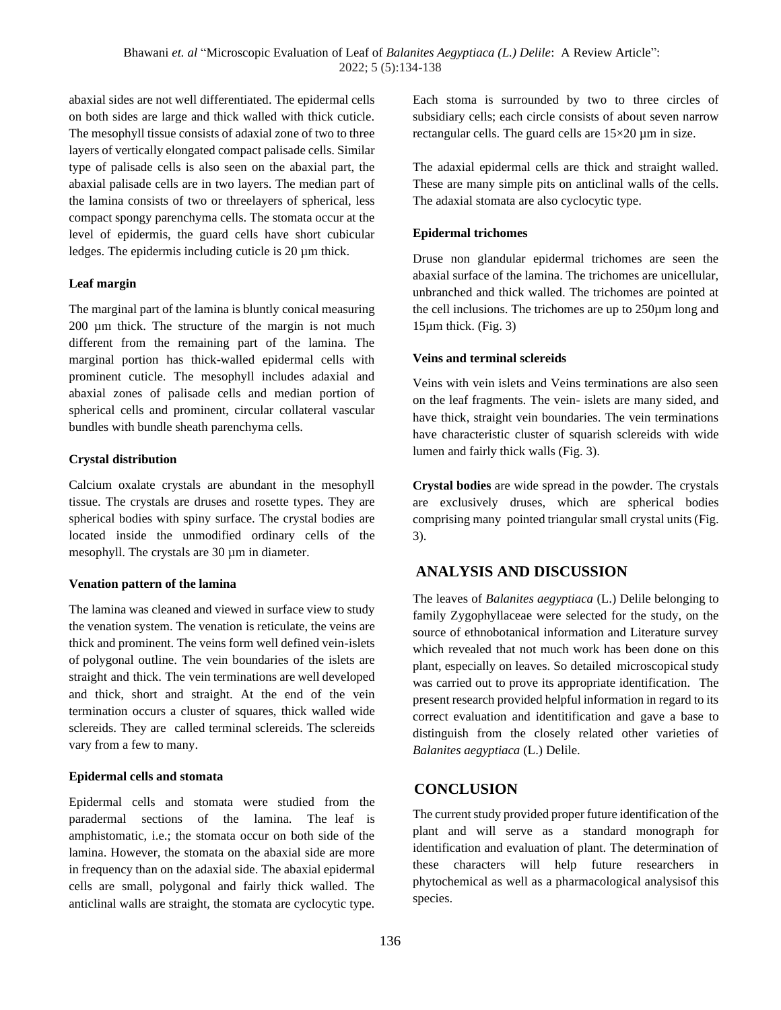abaxial sides are not well differentiated. The epidermal cells on both sides are large and thick walled with thick cuticle. The mesophyll tissue consists of adaxial zone of two to three layers of vertically elongated compact palisade cells. Similar type of palisade cells is also seen on the abaxial part, the abaxial palisade cells are in two layers. The median part of the lamina consists of two or threelayers of spherical, less compact spongy parenchyma cells. The stomata occur at the level of epidermis, the guard cells have short cubicular ledges. The epidermis including cuticle is 20 µm thick.

#### **Leaf margin**

The marginal part of the lamina is bluntly conical measuring 200 µm thick. The structure of the margin is not much different from the remaining part of the lamina. The marginal portion has thick-walled epidermal cells with prominent cuticle. The mesophyll includes adaxial and abaxial zones of palisade cells and median portion of spherical cells and prominent, circular collateral vascular bundles with bundle sheath parenchyma cells.

#### **Crystal distribution**

Calcium oxalate crystals are abundant in the mesophyll tissue. The crystals are druses and rosette types. They are spherical bodies with spiny surface. The crystal bodies are located inside the unmodified ordinary cells of the mesophyll. The crystals are 30  $\mu$ m in diameter.

#### **Venation pattern of the lamina**

The lamina was cleaned and viewed in surface view to study the venation system. The venation is reticulate, the veins are thick and prominent. The veins form well defined vein-islets of polygonal outline. The vein boundaries of the islets are straight and thick. The vein terminations are well developed and thick, short and straight. At the end of the vein termination occurs a cluster of squares, thick walled wide sclereids. They are called terminal sclereids. The sclereids vary from a few to many.

#### **Epidermal cells and stomata**

Epidermal cells and stomata were studied from the paradermal sections of the lamina. The leaf is amphistomatic, i.e.; the stomata occur on both side of the lamina. However, the stomata on the abaxial side are more in frequency than on the adaxial side. The abaxial epidermal cells are small, polygonal and fairly thick walled. The anticlinal walls are straight, the stomata are cyclocytic type.

Each stoma is surrounded by two to three circles of subsidiary cells; each circle consists of about seven narrow rectangular cells. The guard cells are 15×20 µm in size.

The adaxial epidermal cells are thick and straight walled. These are many simple pits on anticlinal walls of the cells. The adaxial stomata are also cyclocytic type.

#### **Epidermal trichomes**

Druse non glandular epidermal trichomes are seen the abaxial surface of the lamina. The trichomes are unicellular, unbranched and thick walled. The trichomes are pointed at the cell inclusions. The trichomes are up to 250µm long and 15µm thick. (Fig. 3)

#### **Veins and terminal sclereids**

Veins with vein islets and Veins terminations are also seen on the leaf fragments. The vein- islets are many sided, and have thick, straight vein boundaries. The vein terminations have characteristic cluster of squarish sclereids with wide lumen and fairly thick walls (Fig. 3).

**Crystal bodies** are wide spread in the powder. The crystals are exclusively druses, which are spherical bodies comprising many pointed triangular small crystal units (Fig. 3).

## **ANALYSIS AND DISCUSSION**

The leaves of *Balanites aegyptiaca* (L.) Delile belonging to family Zygophyllaceae were selected for the study, on the source of ethnobotanical information and Literature survey which revealed that not much work has been done on this plant, especially on leaves. So detailed microscopical study was carried out to prove its appropriate identification. The present research provided helpful information in regard to its correct evaluation and identitification and gave a base to distinguish from the closely related other varieties of *Balanites aegyptiaca* (L.) Delile.

### **CONCLUSION**

The current study provided proper future identification of the plant and will serve as a standard monograph for identification and evaluation of plant. The determination of these characters will help future researchers in phytochemical as well as a pharmacological analysisof this species.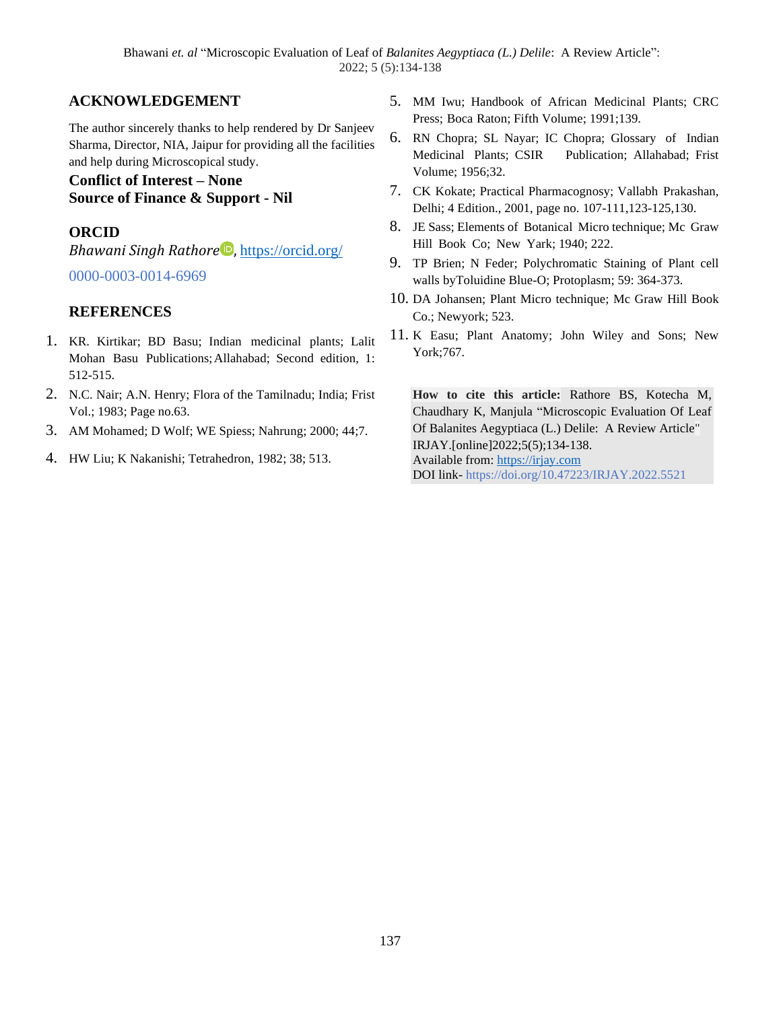# **ACKNOWLEDGEMENT**

The author sincerely thanks to help rendered by Dr Sanjeev Sharma, Director, NIA, Jaipur for providing all the facilities and help during Microscopical study.

### **Conflict of Interest – None Source of Finance & Support - Nil**

# **ORCID**

*Bhawani Singh Rathore*<sup>D</sup>, <https://orcid.org/>

0000-0003-0014-6969

# **REFERENCES**

- 1. KR. Kirtikar; BD Basu; Indian medicinal plants; Lalit Mohan Basu Publications;Allahabad; Second edition, 1: 512-515.
- 2. N.C. Nair; A.N. Henry; Flora of the Tamilnadu; India; Frist Vol.; 1983; Page no.63.
- 3. AM Mohamed; D Wolf; WE Spiess; Nahrung; 2000; 44;7.
- 4. HW Liu; K Nakanishi; Tetrahedron, 1982; 38; 513.
- 5. MM Iwu; Handbook of African Medicinal Plants; CRC Press; Boca Raton; Fifth Volume; 1991;139.
- 6. RN Chopra; SL Nayar; IC Chopra; Glossary of Indian Medicinal Plants; CSIR Publication; Allahabad; Frist Volume; 1956;32.
- 7. CK Kokate; Practical Pharmacognosy; Vallabh Prakashan, Delhi; 4 Edition., 2001, page no. 107-111,123-125,130.
- 8. JE Sass; Elements of Botanical Micro technique; Mc Graw Hill Book Co; New Yark; 1940; 222.
- 9. TP Brien; N Feder; Polychromatic Staining of Plant cell walls byToluidine Blue-O; Protoplasm; 59: 364-373.
- 10. DA Johansen; Plant Micro technique; Mc Graw Hill Book Co.; Newyork; 523.
- 11. K Easu; Plant Anatomy; John Wiley and Sons; New York;767.

**How to cite this article:** Rathore BS, Kotecha M, Chaudhary K, Manjula "Microscopic Evaluation Of Leaf Of Balanites Aegyptiaca (L.) Delile: A Review Article" IRJAY.[online]2022;5(5);134-138. Available from: [https://irjay.com](https://irjay.com/) DOI link- https://doi.org/10.47223/IRJAY.2022.5521